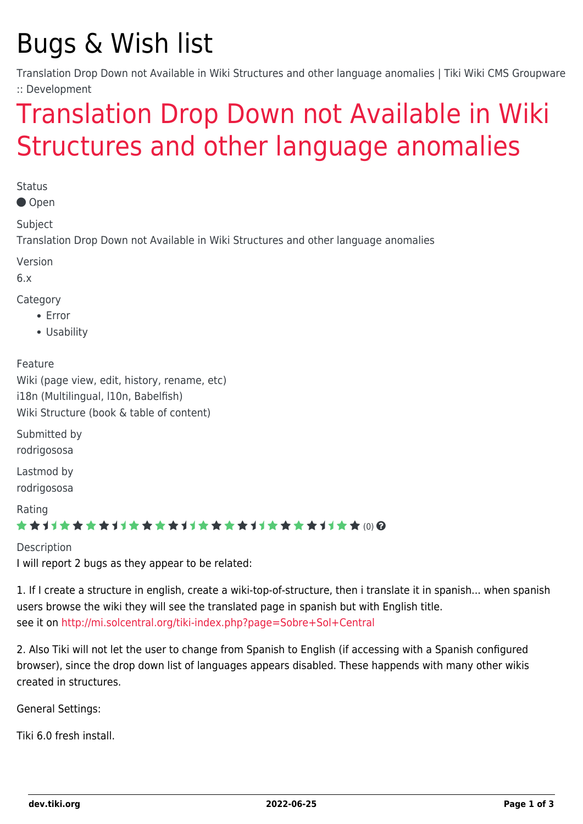## Bugs & Wish list

Translation Drop Down not Available in Wiki Structures and other language anomalies | Tiki Wiki CMS Groupware :: Development

## [Translation Drop Down not Available in Wiki](https://dev.tiki.org/item3686-Translation-Drop-Down-not-Available-in-Wiki-Structures-and-other-language-anomalies) [Structures and other language anomalies](https://dev.tiki.org/item3686-Translation-Drop-Down-not-Available-in-Wiki-Structures-and-other-language-anomalies)

**Status** 

Open

Subject

Translation Drop Down not Available in Wiki Structures and other language anomalies

Version

6.x

Category

- Error
- Usability

Feature

Wiki (page view, edit, history, rename, etc) i18n (Multilingual, l10n, Babelfish) Wiki Structure (book & table of content)

Submitted by rodrigososa

Lastmod by rodrigososa

Rating

★★11★★★★11★★★★11★★★★11★★★★+11★★ (0) @

Description I will report 2 bugs as they appear to be related:

1. If I create a structure in english, create a wiki-top-of-structure, then i translate it in spanish... when spanish users browse the wiki they will see the translated page in spanish but with English title. see it on <http://mi.solcentral.org/tiki-index.php?page=Sobre+Sol+Central>

2. Also Tiki will not let the user to change from Spanish to English (if accessing with a Spanish configured browser), since the drop down list of languages appears disabled. These happends with many other wikis created in structures.

General Settings:

Tiki 6.0 fresh install.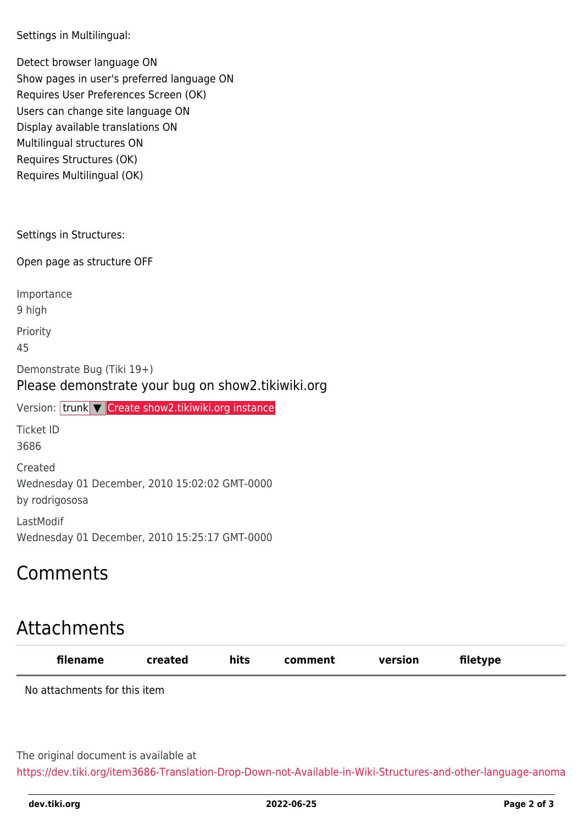Settings in Multilingual:

Detect browser language ON Show pages in user's preferred language ON Requires User Preferences Screen (OK) Users can change site language ON Display available translations ON Multilingual structures ON Requires Structures (OK) Requires Multilingual (OK)

Settings in Structures:

Open page as structure OFF

Importance 9 high Priority 45 Demonstrate Bug (Tiki 19+) Please demonstrate your bug on show2.tikiwiki.org Version: trunk ▼ [Create show2.tikiwiki.org instance](#page--1-0) Ticket ID 3686 Created Wednesday 01 December, 2010 15:02:02 GMT-0000 by rodrigososa LastModif

Wednesday 01 December, 2010 15:25:17 GMT-0000

## Comments

## Attachments

| filename                     | created | hits | comment | version | filetype |  |
|------------------------------|---------|------|---------|---------|----------|--|
| No attachments for this item |         |      |         |         |          |  |
|                              |         |      |         |         |          |  |

The original document is available at

[https://dev.tiki.org/item3686-Translation-Drop-Down-not-Available-in-Wiki-Structures-and-other-language-anoma](https://dev.tiki.org/item3686-Translation-Drop-Down-not-Available-in-Wiki-Structures-and-other-language-anomalies)